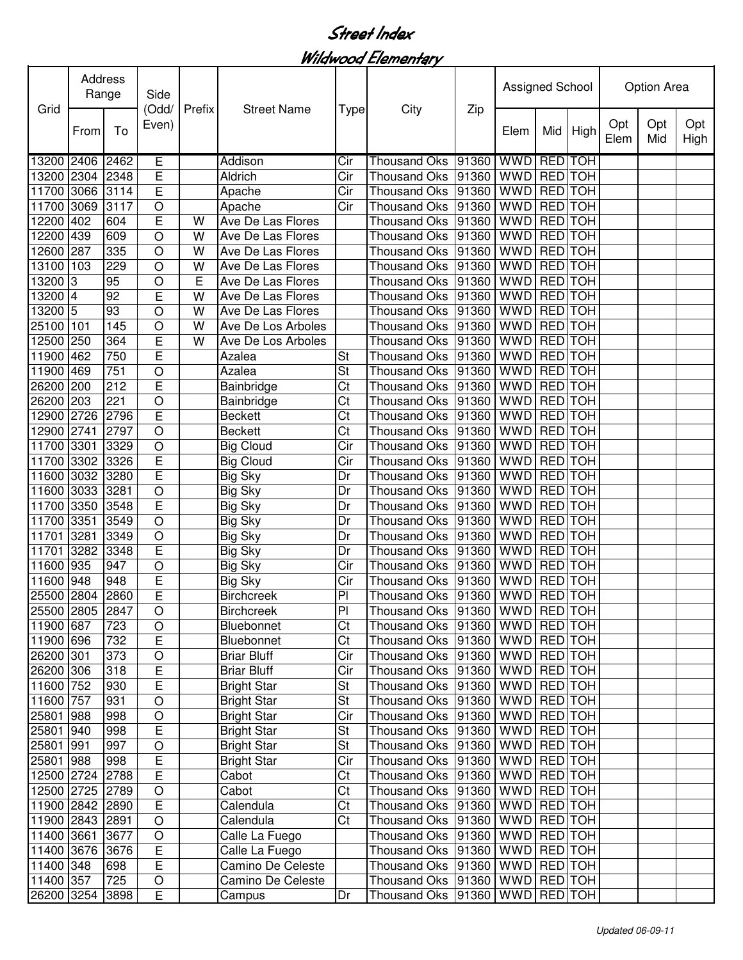Wildwood Elementary

| Grid                   | Address<br>Range |                 | Side<br>(Odd/            | Prefix | <b>Street Name</b>                       | <b>Type</b>                     | City                                                                             | Zip                     | Assigned School |                |            | Option Area |            |             |  |
|------------------------|------------------|-----------------|--------------------------|--------|------------------------------------------|---------------------------------|----------------------------------------------------------------------------------|-------------------------|-----------------|----------------|------------|-------------|------------|-------------|--|
|                        | From             | To              | Even)                    |        |                                          |                                 |                                                                                  |                         | Elem            | Mid            | High       | Opt<br>Elem | Opt<br>Mid | Opt<br>High |  |
| 13200 2406             |                  | 2462            | E                        |        | Addison                                  | Cir                             | <b>Thousand Oks</b>                                                              | 91360 WWD REDITOH       |                 |                |            |             |            |             |  |
| 13200 2304             |                  | 2348            | Ē                        |        | Aldrich                                  | $\overline{\text{Cir}}$         | <b>Thousand Oks</b>                                                              | $ 91360 $ WWD RED TOH   |                 |                |            |             |            |             |  |
| 11700 3066             |                  | 3114            | Ē                        |        | Apache                                   | Cir                             | <b>Thousand Oks</b>                                                              | 91360 WWD               |                 | <b>RED</b> TOH |            |             |            |             |  |
| 11700 3069             |                  | 3117            | $\circ$                  |        | Apache                                   | Cir                             | <b>Thousand Oks</b>                                                              | 91360 WWD               |                 | <b>RED</b> TOH |            |             |            |             |  |
| 12200                  | 402              | 604             | E                        | W      | Ave De Las Flores                        |                                 | <b>Thousand Oks</b>                                                              | 91360                   | <b>WWD</b>      | <b>RED</b> TOH |            |             |            |             |  |
| 12200                  | 439              | 609             | $\circ$                  | W      | Ave De Las Flores                        |                                 | <b>Thousand Oks</b>                                                              | 91360                   | <b>WWD</b>      | <b>RED</b> TOH |            |             |            |             |  |
| 12600                  | 287              | 335             | $\circ$                  | W      | Ave De Las Flores                        |                                 | <b>Thousand Oks</b>                                                              | 91360                   | <b>WWD</b>      | <b>RED</b> TOH |            |             |            |             |  |
| 13100                  | 103              | 229             | $\circ$                  | W      | Ave De Las Flores                        |                                 | <b>Thousand Oks</b>                                                              | 91360                   | <b>WWD</b>      | <b>RED</b>     | <b>TOH</b> |             |            |             |  |
| 13200                  | IЗ               | 95              | $\circ$                  | E      | Ave De Las Flores                        |                                 | <b>Thousand Oks</b>                                                              | 91360                   | <b>WWD</b>      | <b>RED</b> TOH |            |             |            |             |  |
| 13200 4                |                  | $\overline{92}$ | E                        | W      | Ave De Las Flores                        |                                 | <b>Thousand Oks</b>                                                              | 91360 WWD               |                 | <b>RED</b> TOH |            |             |            |             |  |
| 13200 5                |                  | 93              | $\circ$                  | W      | Ave De Las Flores                        |                                 | <b>Thousand Oks</b>                                                              | 91360 WWD RED TOH       |                 |                |            |             |            |             |  |
| 25100 101              |                  | 145             | $\circ$                  | W      | Ave De Los Arboles                       |                                 | <b>Thousand Oks</b>                                                              | 91360   WWD   RED   TOH |                 |                |            |             |            |             |  |
| 12500 250              |                  | 364             | E                        | W      | Ave De Los Arboles                       |                                 | <b>Thousand Oks</b>                                                              | 91360 WWD RED TOH       |                 |                |            |             |            |             |  |
| 11900 462              |                  | 750             | E                        |        | Azalea                                   | St                              | <b>Thousand Oks</b>                                                              | 91360                   | <b>WWD</b>      | <b>RED</b>     | <b>TOH</b> |             |            |             |  |
| 11900 469              |                  | 751             | O                        |        | Azalea                                   | St                              | <b>Thousand Oks</b>                                                              | 91360 WWD               |                 | <b>RED</b>     | <b>TOH</b> |             |            |             |  |
| 26200 200              |                  | 212             | E                        |        | Bainbridge                               | Ct                              | <b>Thousand Oks</b>                                                              | 91360 WWD               |                 | <b>RED</b>     | <b>TOH</b> |             |            |             |  |
| 26200 203              |                  | 221             | $\circ$                  |        | Bainbridge                               | Ct                              | <b>Thousand Oks</b>                                                              | 91360 WWD               |                 | <b>RED</b>     | <b>TOH</b> |             |            |             |  |
| 12900 2726             |                  | 2796            | E                        |        | <b>Beckett</b>                           | Ct                              | <b>Thousand Oks</b>                                                              | 91360 WWD               |                 | RED TOH        |            |             |            |             |  |
| 12900 2741             |                  | 2797            | $\circ$                  |        | <b>Beckett</b>                           | Ct                              | <b>Thousand Oks</b>                                                              | 91360 WWD               |                 | RED TOH        |            |             |            |             |  |
| 11700 3301             |                  | 3329            | $\overline{O}$           |        | <b>Big Cloud</b>                         | Cir                             | <b>Thousand Oks</b>                                                              | 91360 WWD               |                 | RED TOH        |            |             |            |             |  |
| 11700 3302             |                  | 3326            | E                        |        | <b>Big Cloud</b>                         | Cir                             | <b>Thousand Oks</b>                                                              | 91360                   | <b>WWD</b>      | RED TOH        |            |             |            |             |  |
| 11600                  | 3032             | 3280            | Ē                        |        | <b>Big Sky</b>                           | Dr                              | <b>Thousand Oks</b>                                                              | 91360                   | <b>WWD</b>      | <b>RED</b>     | <b>TOH</b> |             |            |             |  |
| 11600                  | 3033             | 3281            | $\overline{O}$           |        | <b>Big Sky</b>                           | Dr                              | <b>Thousand Oks</b>                                                              | 91360                   | <b>WWD</b>      | <b>RED</b>     | <b>TOH</b> |             |            |             |  |
| 11700                  | 3350             | 3548            | E                        |        | <b>Big Sky</b>                           | Dr                              | <b>Thousand Oks</b>                                                              | 91360                   | <b>WWD</b>      | <b>RED</b>     | <b>TOH</b> |             |            |             |  |
| 11700 3351             |                  | 3549            | $\circ$                  |        | <b>Big Sky</b>                           | Dr                              | <b>Thousand Oks</b>                                                              | 91360                   | <b>WWD</b>      | <b>RED</b>     | <b>TOH</b> |             |            |             |  |
| 11701                  | 3281             | 3349            | $\circ$                  |        | <b>Big Sky</b>                           | Dr                              | <b>Thousand Oks</b>                                                              | 91360                   | <b>WWD</b>      | <b>RED</b>     | <b>TOH</b> |             |            |             |  |
| 11701                  | 3282             | 3348            | Ē                        |        | <b>Big Sky</b>                           | Dr                              | <b>Thousand Oks</b>                                                              | 91360                   | WWD RED TOH     |                |            |             |            |             |  |
| 11600 935              |                  | 947             | $\circ$                  |        | <b>Big Sky</b>                           | Cir                             | <b>Thousand Oks</b>                                                              | 91360                   | WWD RED TOH     |                |            |             |            |             |  |
| 11600 948              |                  | 948             | E                        |        | <b>Big Sky</b>                           | Cir                             | <b>Thousand Oks</b>                                                              | 91360                   | WWD RED TOH     |                |            |             |            |             |  |
| 25500 2804             |                  | 2860            | E                        |        | <b>Birchcreek</b>                        | P <sub>1</sub>                  | Thousand Oks 91360                                                               |                         | WWD RED TOH     |                |            |             |            |             |  |
| 25500 2805 2847        |                  |                 | $\overline{O}$           |        | <b>Birchcreek</b>                        | PI                              | Thousand Oks 91360 WWD RED TOH                                                   |                         |                 |                |            |             |            |             |  |
| 11900 687              |                  | 723             | $\circ$                  |        | Bluebonnet                               | Ct                              | Thousand Oks   91360   WWD   RED   TOH                                           |                         |                 |                |            |             |            |             |  |
| 11900 696              |                  | 732             | E                        |        | Bluebonnet                               | Ct                              | Thousand Oks   91360   WWD   RED   TOH                                           |                         |                 |                |            |             |            |             |  |
| 26200 301<br>26200 306 |                  | 373             | $\bigcirc$               |        | <b>Briar Bluff</b>                       | Cir<br>$\overline{\text{C}}$ ir | Thousand Oks   91360   WWD   RED   TOH                                           |                         |                 |                |            |             |            |             |  |
|                        |                  | 318             | E                        |        | <b>Briar Bluff</b>                       |                                 | Thousand Oks 91360 WWD RED TOH                                                   |                         |                 |                |            |             |            |             |  |
| 11600 752<br>11600 757 |                  | 930<br>931      | E                        |        | <b>Bright Star</b>                       | St                              | Thousand Oks   91360   WWD   RED   TOH<br>Thousand Oks   91360   WWD   RED   TOH |                         |                 |                |            |             |            |             |  |
| 25801 988              |                  | 998             | $\bigcirc$<br>$\bigcirc$ |        | <b>Bright Star</b><br><b>Bright Star</b> | St<br>Cir                       | Thousand Oks   91360   WWD   RED   TOH                                           |                         |                 |                |            |             |            |             |  |
| 25801 940              |                  |                 | E                        |        |                                          |                                 | Thousand Oks  91360   WWD   RED   TOH                                            |                         |                 |                |            |             |            |             |  |
| 25801 991              |                  | 998<br>997      | $\bigcirc$               |        | <b>Bright Star</b><br><b>Bright Star</b> | St<br><b>St</b>                 | Thousand Oks  91360   WWD   RED   TOH                                            |                         |                 |                |            |             |            |             |  |
| 25801 988              |                  | 998             |                          |        | <b>Bright Star</b>                       | Cir                             | Thousand Oks   91360   WWD   RED   TOH                                           |                         |                 |                |            |             |            |             |  |
| 12500 2724 2788        |                  |                 | $rac{E}{E}$              |        | Cabot                                    | Ct                              | Thousand Oks   91360   WWD   RED   TOH                                           |                         |                 |                |            |             |            |             |  |
| 12500 2725 2789        |                  |                 | $\bigcirc$               |        | Cabot                                    | Ct                              | Thousand Oks  91360   WWD   RED   TOH                                            |                         |                 |                |            |             |            |             |  |
| 11900 2842 2890        |                  |                 | $\overline{E}$           |        | Calendula                                | Ct                              | Thousand Oks   91360   WWD   RED   TOH                                           |                         |                 |                |            |             |            |             |  |
| 11900 2843             |                  | 2891            | $\circ$                  |        | Calendula                                | Ct                              | Thousand Oks   91360   WWD   RED   TOH                                           |                         |                 |                |            |             |            |             |  |
| 11400 3661             |                  | 3677            | $\circ$                  |        | Calle La Fuego                           |                                 | Thousand Oks   91360   WWD   RED   TOH                                           |                         |                 |                |            |             |            |             |  |
| 11400 3676 3676        |                  |                 | $\overline{E}$           |        | Calle La Fuego                           |                                 | Thousand Oks   91360   WWD   RED   TOH                                           |                         |                 |                |            |             |            |             |  |
| 11400 348              |                  | 698             | E                        |        | Camino De Celeste                        |                                 | Thousand Oks   91360   WWD   RED   TOH                                           |                         |                 |                |            |             |            |             |  |
| 11400 357              |                  | 725             | $\bigcirc$               |        | Camino De Celeste                        |                                 | Thousand Oks   91360   WWD   RED   TOH                                           |                         |                 |                |            |             |            |             |  |
| 26200 3254             |                  | 3898            | $\overline{E}$           |        | Campus                                   | Dr                              | Thousand Oks  91360   WWD   RED   TOH                                            |                         |                 |                |            |             |            |             |  |
|                        |                  |                 |                          |        |                                          |                                 |                                                                                  |                         |                 |                |            |             |            |             |  |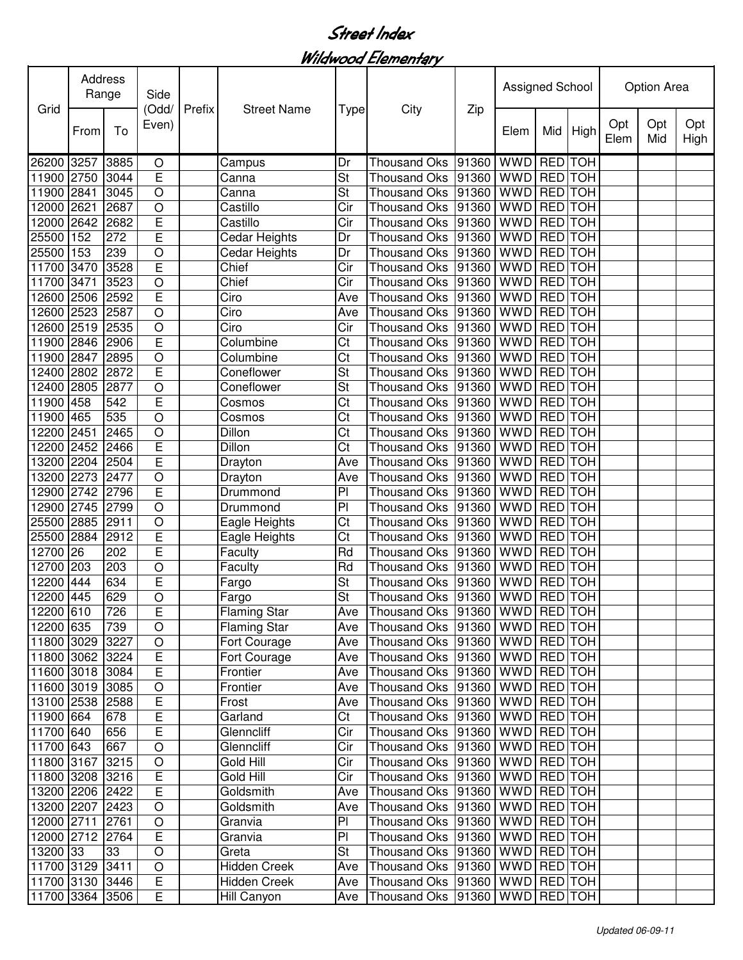Wildwood Elementary

| Grid            | Address<br>Range |      | Side<br>(Odd/           | Prefix | <b>Street Name</b>            |                          |                                        |       | <b>Assigned School</b> |                |            | Option Area |            |             |  |
|-----------------|------------------|------|-------------------------|--------|-------------------------------|--------------------------|----------------------------------------|-------|------------------------|----------------|------------|-------------|------------|-------------|--|
|                 | From             | To   | Even)                   |        |                               | <b>Type</b>              | City                                   | Zip   | Elem                   | Mid            | High       | Opt<br>Elem | Opt<br>Mid | Opt<br>High |  |
| 26200           | 3257             | 3885 | $\bigcirc$              |        | Campus                        | Dr                       | <b>Thousand Oks</b>                    | 91360 | <b>WWD</b>             | <b>RED</b>     | <b>TOH</b> |             |            |             |  |
| 11900           | 2750             | 3044 | E                       |        | Canna                         | St                       | <b>Thousand Oks</b>                    | 91360 | <b>WWD</b>             |                | RED TOH    |             |            |             |  |
| 11900           | 2841             | 3045 | $\circ$                 |        | Canna                         | St                       | <b>Thousand Oks</b>                    | 91360 | <b>WWD</b>             | <b>RED</b>     | <b>TOH</b> |             |            |             |  |
| 12000           | 2621             | 2687 | $\circ$                 |        | Castillo                      | Cir                      | <b>Thousand Oks</b>                    | 91360 | <b>WWD</b>             | <b>RED</b>     | <b>TOH</b> |             |            |             |  |
| 12000           | 2642             | 2682 | E                       |        | Castillo                      | Cir                      | <b>Thousand Oks</b>                    | 91360 | <b>WWD</b>             | <b>RED</b>     | <b>TOH</b> |             |            |             |  |
| 25500           | 152              | 272  | Ē                       |        | Cedar Heights                 | Dr                       | Thousand Oks                           | 91360 | <b>WWD</b>             | <b>RED</b>     | <b>TOH</b> |             |            |             |  |
| 25500           | 153              | 239  | $\circ$                 |        | Cedar Heights                 | Dr                       | <b>Thousand Oks</b>                    | 91360 | <b>WWD</b>             | <b>RED</b>     | <b>TOH</b> |             |            |             |  |
| 11700           | 3470             | 3528 | Ē                       |        | Chief                         | Cir                      | <b>Thousand Oks</b>                    | 91360 | WWD RED TOH            |                |            |             |            |             |  |
| 11700           | 3471             | 3523 | O                       |        | Chief                         | Cir                      | <b>Thousand Oks</b>                    | 91360 | <b>WWD</b>             | <b>RED</b>     | <b>TOH</b> |             |            |             |  |
| 12600           | 2506             | 2592 | E                       |        | Ciro                          | Ave                      | <b>Thousand Oks</b>                    | 91360 | <b>WWD</b>             | <b>RED</b>     | <b>TOH</b> |             |            |             |  |
| 12600           | 2523             | 2587 | O                       |        | Ciro                          | Ave                      | <b>Thousand Oks</b>                    | 91360 | <b>WWD</b>             | <b>RED</b>     | <b>TOH</b> |             |            |             |  |
| 12600           | 2519             | 2535 | $\circ$                 |        | Ciro                          | Cir                      | <b>Thousand Oks</b>                    | 91360 | <b>WWD</b>             | <b>RED</b>     | <b>TOH</b> |             |            |             |  |
| 11900           | 2846             | 2906 | E                       |        | Columbine                     | Ct                       | <b>Thousand Oks</b>                    | 91360 | <b>WWD</b>             | <b>RED</b>     | <b>TOH</b> |             |            |             |  |
| 11900           | 2847             | 2895 | $\circ$                 |        | Columbine                     | Ct                       | <b>Thousand Oks</b>                    | 91360 | <b>WWD</b>             | <b>RED</b>     | <b>TOH</b> |             |            |             |  |
| 12400           | 2802             | 2872 | E                       |        | Coneflower                    | St                       | <b>Thousand Oks</b>                    | 91360 | <b>WWD</b>             | <b>RED</b>     | <b>TOH</b> |             |            |             |  |
| 12400           | 2805             | 2877 | $\overline{O}$          |        | Coneflower                    | $\overline{\mathsf{St}}$ | <b>Thousand Oks</b>                    | 91360 | <b>WWD</b>             | <b>RED</b> TOH |            |             |            |             |  |
| 11900 458       |                  | 542  | Ē                       |        | Cosmos                        | Ct                       | <b>Thousand Oks</b>                    | 91360 | <b>WWD</b>             | <b>RED</b> TOH |            |             |            |             |  |
| 11900           | 465              | 535  | $\overline{O}$          |        | $\overline{\mathrm{C}}$ osmos | Ct                       | <b>Thousand Oks</b>                    | 91360 | <b>WWD</b>             | <b>RED</b>     | <b>TOH</b> |             |            |             |  |
| 12200           | 2451             | 2465 | $\overline{O}$          |        | Dillon                        | Ct                       | <b>Thousand Oks</b>                    | 91360 | <b>WWD</b>             | <b>RED</b>     | <b>TOH</b> |             |            |             |  |
| 12200           | 2452             | 2466 | Ē                       |        | Dillon                        | Ct                       | <b>Thousand Oks</b>                    | 91360 | <b>WWD</b>             | <b>RED</b>     | <b>TOH</b> |             |            |             |  |
| 13200           | 2204             | 2504 | Ē                       |        | Drayton                       | Ave                      | <b>Thousand Oks</b>                    | 91360 | <b>WWD</b>             | <b>RED</b>     | <b>TOH</b> |             |            |             |  |
| 13200           | 2273             | 2477 | $\overline{O}$          |        | Drayton                       | Ave                      | <b>Thousand Oks</b>                    | 91360 | <b>WWD</b>             | <b>RED</b>     | <b>TOH</b> |             |            |             |  |
| 12900           | 2742             | 2796 | Ē                       |        | Drummond                      | P <sub>1</sub>           | <b>Thousand Oks</b>                    | 91360 | <b>WWD</b>             | <b>RED</b>     | <b>TOH</b> |             |            |             |  |
| 12900 2745      |                  | 2799 | $\circ$                 |        | Drummond                      | $\overline{P}$           | <b>Thousand Oks</b>                    | 91360 | <b>WWD</b>             | <b>RED</b> TOH |            |             |            |             |  |
| 25500 2885      |                  | 2911 | $\circ$                 |        | Eagle Heights                 | Ct                       | <b>Thousand Oks</b>                    | 91360 | WWD RED TOH            |                |            |             |            |             |  |
| 25500           | 2884             | 2912 | E                       |        | Eagle Heights                 | Ct                       | <b>Thousand Oks</b>                    | 91360 | <b>WWD</b>             | <b>RED</b>     | <b>TOH</b> |             |            |             |  |
| 12700           | 26               | 202  | E                       |        | Faculty                       | Rd                       | <b>Thousand Oks</b>                    | 91360 | <b>WWD</b>             | <b>RED</b>     | <b>TOH</b> |             |            |             |  |
| 12700           | 203              | 203  | $\circ$                 |        | Faculty                       | Rd                       | <b>Thousand Oks</b>                    | 91360 | <b>WWD</b>             | <b>RED</b>     | <b>TOH</b> |             |            |             |  |
| 12200           | 444              | 634  | E                       |        | Fargo                         | St                       | <b>Thousand Oks</b>                    | 91360 | <b>WWD</b>             | <b>RED</b>     | <b>TOH</b> |             |            |             |  |
| 12200 445       |                  | 629  | $\circ$                 |        | Fargo                         | St                       | <b>Thousand Oks</b>                    | 91360 | WWD RED TOH            |                |            |             |            |             |  |
| 12200 610       |                  | 726  | E                       |        | <b>Flaming Star</b>           | Ave                      | Thousand Oks 91360 WWD RED TOH         |       |                        |                |            |             |            |             |  |
| 12200 635       |                  | 739  | $\bigcirc$              |        | <b>Flaming Star</b>           | Ave                      | Thousand Oks  91360   WWD   RED   TOH  |       |                        |                |            |             |            |             |  |
| 11800 3029      |                  | 3227 | $\bigcirc$              |        | Fort Courage                  | Ave                      | Thousand Oks   91360   WWD   RED   TOH |       |                        |                |            |             |            |             |  |
| 11800 3062 3224 |                  |      | E                       |        | Fort Courage                  | Ave                      | Thousand Oks   91360   WWD   RED   TOH |       |                        |                |            |             |            |             |  |
| 11600 3018 3084 |                  |      | Ē                       |        | Frontier                      | Ave                      | Thousand Oks   91360   WWD   RED   TOH |       |                        |                |            |             |            |             |  |
| 11600 3019 3085 |                  |      | O                       |        | Frontier                      | Ave                      | Thousand Oks  91360   WWD   RED   TOH  |       |                        |                |            |             |            |             |  |
| 13100 2538 2588 |                  |      | E                       |        | Frost                         | Ave                      | Thousand Oks  91360   WWD   RED   TOH  |       |                        |                |            |             |            |             |  |
| 11900 664       |                  | 678  | E                       |        | Garland                       | Ct                       | Thousand Oks   91360   WWD   RED   TOH |       |                        |                |            |             |            |             |  |
| 11700 640       |                  | 656  | $\overline{\mathsf{E}}$ |        | Glenncliff                    | Cir                      | Thousand Oks  91360   WWD   RED   TOH  |       |                        |                |            |             |            |             |  |
| 11700 643       |                  | 667  | $\bigcirc$              |        | Glenncliff                    | Cir                      | Thousand Oks  91360   WWD   RED   TOH  |       |                        |                |            |             |            |             |  |
| 11800 3167      |                  | 3215 | $\bigcirc$              |        | Gold Hill                     | Cir                      | Thousand Oks   91360   WWD   RED   TOH |       |                        |                |            |             |            |             |  |
| 11800 3208 3216 |                  |      | E                       |        | Gold Hill                     | Cir                      | Thousand Oks   91360   WWD   RED   TOH |       |                        |                |            |             |            |             |  |
| 13200 2206 2422 |                  |      | E                       |        | Goldsmith                     | Ave                      | Thousand Oks   91360   WWD   RED   TOH |       |                        |                |            |             |            |             |  |
| 13200 2207 2423 |                  |      | $\circ$                 |        | Goldsmith                     | Ave                      | Thousand Oks   91360   WWD   RED   TOH |       |                        |                |            |             |            |             |  |
| 12000 2711      |                  | 2761 | $\circ$                 |        | Granvia                       | PI                       | Thousand Oks   91360   WWD   RED   TOH |       |                        |                |            |             |            |             |  |
| 12000 2712 2764 |                  |      | E                       |        | Granvia                       | $\overline{P}$           | Thousand Oks 91360 WWD RED TOH         |       |                        |                |            |             |            |             |  |
| 13200 33        |                  | 33   | $\circ$                 |        | Greta                         | $\overline{\mathsf{St}}$ | Thousand Oks 91360 WWD RED TOH         |       |                        |                |            |             |            |             |  |
| 11700 3129 3411 |                  |      | $\circ$                 |        | <b>Hidden Creek</b>           | Ave                      | Thousand Oks   91360   WWD   RED   TOH |       |                        |                |            |             |            |             |  |
| 11700 3130 3446 |                  |      | E                       |        | Hidden Creek                  | Ave                      | Thousand Oks   91360   WWD   RED   TOH |       |                        |                |            |             |            |             |  |
| 11700 3364 3506 |                  |      | E                       |        | Hill Canyon                   | Ave                      | Thousand Oks   91360   WWD   RED   TOH |       |                        |                |            |             |            |             |  |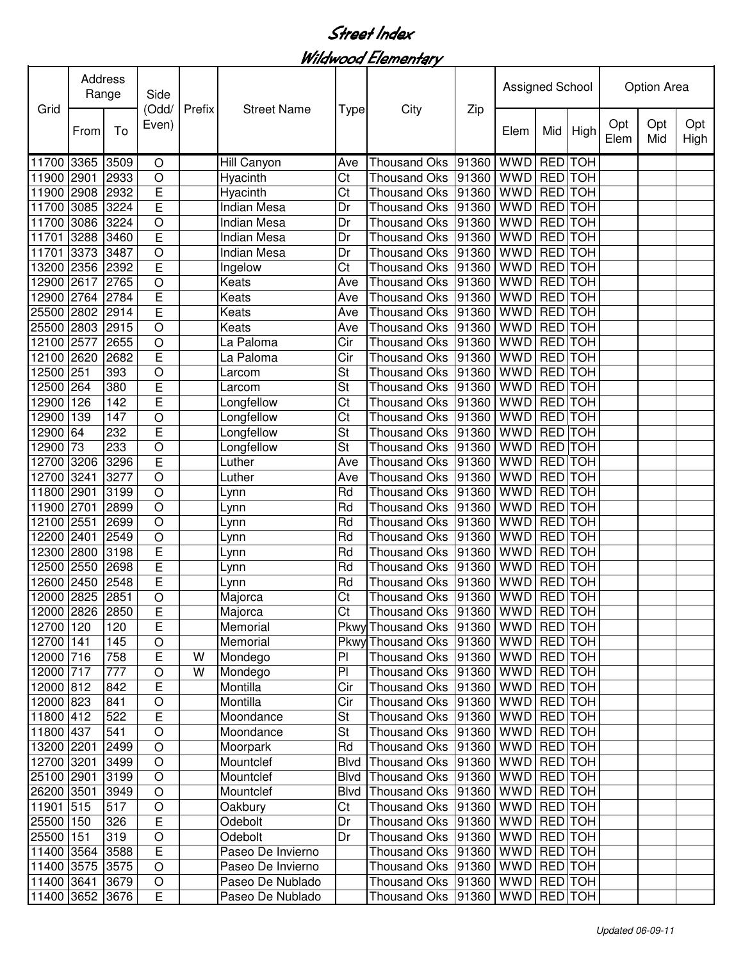Wildwood Elementary

| Grid            | <b>Address</b><br>Range |      | Side<br>(Odd/           | Prefix | <b>Street Name</b> |                        |                                             | Zip   | Assigned School |                |                | <b>Option Area</b> |            |             |
|-----------------|-------------------------|------|-------------------------|--------|--------------------|------------------------|---------------------------------------------|-------|-----------------|----------------|----------------|--------------------|------------|-------------|
|                 | From                    | To   | Even)                   |        |                    | <b>Type</b>            | City                                        |       | Elem            | Mid            | High           | Opt<br>Elem        | Opt<br>Mid | Opt<br>High |
| 11700 3365      |                         | 3509 | O                       |        | Hill Canyon        | Ave                    | <b>Thousand Oks</b>                         | 91360 | <b>WWD</b>      | RED TOH        |                |                    |            |             |
| 11900           | 2901                    | 2933 | $\circ$                 |        | Hyacinth           | Ct                     | <b>Thousand Oks</b>                         | 91360 | <b>WWD</b>      | <b>RED</b>     | <b>TOH</b>     |                    |            |             |
| 11900           | 2908                    | 2932 | $\overline{E}$          |        | Hyacinth           | Ct                     | <b>Thousand Oks</b>                         | 91360 | <b>WWD</b>      | <b>RED</b>     | <b>TOH</b>     |                    |            |             |
| 11700           | 3085                    | 3224 | Ē                       |        | Indian Mesa        | Dr                     | <b>Thousand Oks</b>                         | 91360 | <b>WWD</b>      | <b>RED</b>     | <b>TOH</b>     |                    |            |             |
| 11700           | 3086                    | 3224 | $\circ$                 |        | Indian Mesa        | Dr                     | <b>Thousand Oks</b>                         | 91360 | <b>WWD</b>      | <b>RED</b> TOH |                |                    |            |             |
| 11701           | 3288                    | 3460 | E                       |        | <b>Indian Mesa</b> | Dr                     | <b>Thousand Oks</b>                         | 91360 | <b>WWD</b>      | RED TOH        |                |                    |            |             |
| 11701           | 3373                    | 3487 | $\circ$                 |        | Indian Mesa        | Dr                     | <b>Thousand Oks</b>                         | 91360 | <b>WWD</b>      | RED TOH        |                |                    |            |             |
| 13200 2356      |                         | 2392 | E                       |        | Ingelow            | Ct                     | <b>Thousand Oks</b>                         | 91360 | <b>WWD</b>      | RED TOH        |                |                    |            |             |
| 12900 2617      |                         | 2765 | $\circ$                 |        | Keats              | Ave                    | <b>Thousand Oks</b>                         | 91360 | <b>WWD</b>      | RED TOH        |                |                    |            |             |
| 12900 2764      |                         | 2784 | E                       |        | Keats              | Ave                    | <b>Thousand Oks</b>                         | 91360 | <b>WWD</b>      | <b>RED</b>     | <b>TOH</b>     |                    |            |             |
| 25500 2802      |                         | 2914 | E                       |        | Keats              | Ave                    | <b>Thousand Oks</b>                         | 91360 | <b>WWD</b>      | <b>RED</b>     | <b>TOH</b>     |                    |            |             |
| 25500 2803      |                         | 2915 | $\circ$                 |        | Keats              | Ave                    | <b>Thousand Oks</b>                         | 91360 | <b>WWD</b>      | <b>RED</b>     | <b>TOH</b>     |                    |            |             |
| 12100 2577      |                         | 2655 | $\circ$                 |        | La Paloma          | Cir                    | <b>Thousand Oks</b>                         | 91360 | <b>WWD</b>      | RED TOH        |                |                    |            |             |
| 12100 2620      |                         | 2682 | E                       |        | La Paloma          | Cir                    | <b>Thousand Oks</b>                         | 91360 | <b>WWD</b>      | <b>RED</b> TOH |                |                    |            |             |
| 12500 251       |                         | 393  | $\overline{O}$          |        | Larcom             | St                     | <b>Thousand Oks</b>                         | 91360 | <b>WWD</b>      | <b>RED</b> TOH |                |                    |            |             |
| 12500 264       |                         | 380  | Ē                       |        | Larcom             | <b>St</b>              | <b>Thousand Oks</b>                         | 91360 | <b>WWD</b>      | <b>RED</b> TOH |                |                    |            |             |
| 12900           | 126                     | 142  | Ē                       |        | Longfellow         | Ct                     | <b>Thousand Oks</b>                         | 91360 | <b>WWD</b>      | <b>RED</b>     | <b>TOH</b>     |                    |            |             |
| 12900           | 139                     | 147  | O                       |        | Longfellow         | Ct                     | <b>Thousand Oks</b>                         | 91360 | <b>WWD</b>      | <b>RED</b>     | <b>TOH</b>     |                    |            |             |
| 12900           | 64                      | 232  | Ē                       |        | Longfellow         | St                     | <b>Thousand Oks</b>                         | 91360 | <b>WWD</b>      | <b>RED</b>     | <b>TOH</b>     |                    |            |             |
| 12900           | 73                      | 233  | $\overline{O}$          |        | Longfellow         | St                     | <b>Thousand Oks</b>                         | 91360 | <b>WWD</b>      |                | <b>RED</b> TOH |                    |            |             |
| 12700           | 3206                    | 3296 | Ē                       |        | Luther             | Ave                    | <b>Thousand Oks</b>                         | 91360 | <b>WWD</b>      | <b>RED</b>     | <b>TOH</b>     |                    |            |             |
| 12700           | 3241                    | 3277 | $\circ$                 |        | Luther             | Ave                    | <b>Thousand Oks</b>                         | 91360 | <b>WWD</b>      | <b>RED</b> TOH |                |                    |            |             |
| 11800 2901      |                         | 3199 | $\circ$                 |        | Lynn               | Rd                     | <b>Thousand Oks</b>                         | 91360 | <b>WWD</b>      | <b>RED</b> TOH |                |                    |            |             |
| 11900 2701      |                         | 2899 | $\circ$                 |        | Lynn               | Rd                     | <b>Thousand Oks</b>                         | 91360 | <b>WWD</b>      | <b>RED</b> TOH |                |                    |            |             |
| 12100 2551      |                         | 2699 | $\circ$                 |        | Lynn               | Rd                     | <b>Thousand Oks</b>                         | 91360 | <b>WWD</b>      | RED TOH        |                |                    |            |             |
| 12200 2401      |                         | 2549 | $\circ$                 |        | Lynn               | Rd                     | <b>Thousand Oks</b>                         | 91360 | <b>WWD</b>      | RED TOH        |                |                    |            |             |
| 12300 2800      |                         | 3198 | E                       |        | Lynn               | Rd                     | <b>Thousand Oks</b>                         | 91360 | <b>WWD</b>      | <b>RED</b>     | <b>TOH</b>     |                    |            |             |
| 12500 2550      |                         | 2698 | E                       |        | Lynn               | Rd                     | <b>Thousand Oks</b>                         | 91360 | <b>WWD</b>      | <b>RED</b>     | <b>TOH</b>     |                    |            |             |
| 12600 2450      |                         | 2548 | E                       |        | Lynn               | Rd                     | <b>Thousand Oks</b>                         | 91360 | <b>WWD</b>      | <b>RED</b>     | <b>TOH</b>     |                    |            |             |
| 12000 2825      |                         | 2851 | $\circ$                 |        | Majorca            | Ct                     | <b>Thousand Oks</b>                         | 91360 | <b>WWD</b>      | RED TOH        |                |                    |            |             |
| 12000 2826 2850 |                         |      | $\overline{\mathsf{E}}$ |        | Majorca            | $\overline{\text{Ct}}$ | Thousand Oks 91360 WWD RED TOH              |       |                 |                |                |                    |            |             |
| 12700 120       |                         | 120  | E                       |        | Memorial           |                        | Pkwy Thousand Oks   91360   WWD   RED   TOH |       |                 |                |                |                    |            |             |
| 12700 141       |                         | 145  | $\bigcirc$              |        | Memorial           |                        | Pkwy Thousand Oks   91360   WWD   RED   TOH |       |                 |                |                |                    |            |             |
| 12000 716       |                         | 758  | E                       | W      | Mondego            | PI                     | Thousand Oks   91360   WWD                  |       |                 |                | RED TOH        |                    |            |             |
| 12000 717       |                         | 777  | $\bigcirc$              | W      | Mondego            | PI                     | Thousand Oks 91360                          |       | <b>WWD</b>      |                | RED TOH        |                    |            |             |
| 12000 812       |                         | 842  | E                       |        | Montilla           | Cir                    | Thousand Oks 91360                          |       | <b>WWD</b>      |                | RED TOH        |                    |            |             |
| 12000 823       |                         | 841  | $\circ$                 |        | Montilla           | Cir                    | Thousand Oks 91360                          |       | <b>WWD</b>      |                | RED TOH        |                    |            |             |
| 11800 412       |                         | 522  | E                       |        | Moondance          | St                     | Thousand Oks 91360                          |       | <b>WWD</b>      | RED TOH        |                |                    |            |             |
| 11800 437       |                         | 541  | $\bigcirc$              |        | Moondance          | St                     | Thousand Oks   91360                        |       | WWD RED TOH     |                |                |                    |            |             |
| 13200 2201      |                         | 2499 | $\circ$                 |        | Moorpark           | Rd                     | Thousand Oks   91360   WWD   RED   TOH      |       |                 |                |                |                    |            |             |
| 12700 3201      |                         | 3499 | $\circ$                 |        | Mountclef          | Blvd                   | Thousand Oks 91360                          |       | WWD RED TOH     |                |                |                    |            |             |
| 25100 2901      |                         | 3199 | $\circ$                 |        | Mountclef          | Blvd                   | Thousand Oks 91360                          |       | WWD RED TOH     |                |                |                    |            |             |
| 26200 3501      |                         | 3949 | $\circ$                 |        | Mountclef          | <b>Blvd</b>            | Thousand Oks 91360                          |       | <b>WWD</b>      | RED TOH        |                |                    |            |             |
| 11901 515       |                         | 517  | $\bigcirc$              |        | Oakbury            | Ct                     | Thousand Oks 91360                          |       | <b>WWD</b>      | <b>RED</b> TOH |                |                    |            |             |
| 25500 150       |                         | 326  | E                       |        | Odebolt            | Dr                     | Thousand Oks 91360                          |       | <b>WWD</b>      | RED TOH        |                |                    |            |             |
| 25500 151       |                         | 319  | $\circ$                 |        | Odebolt            | Dr                     | Thousand Oks 91360                          |       | <b>WWD</b>      | RED TOH        |                |                    |            |             |
| 11400 3564      |                         | 3588 | E                       |        | Paseo De Invierno  |                        | Thousand Oks 91360                          |       | WWD RED TOH     |                |                |                    |            |             |
| 11400 3575      |                         | 3575 | $\circ$                 |        | Paseo De Invierno  |                        | Thousand Oks 91360                          |       | WWD RED TOH     |                |                |                    |            |             |
| 11400 3641 3679 |                         |      | $\bigcirc$              |        | Paseo De Nublado   |                        | Thousand Oks  91360   WWD   RED   TOH       |       |                 |                |                |                    |            |             |
| 11400 3652 3676 |                         |      | $\overline{E}$          |        | Paseo De Nublado   |                        | Thousand Oks  91360   WWD   RED   TOH       |       |                 |                |                |                    |            |             |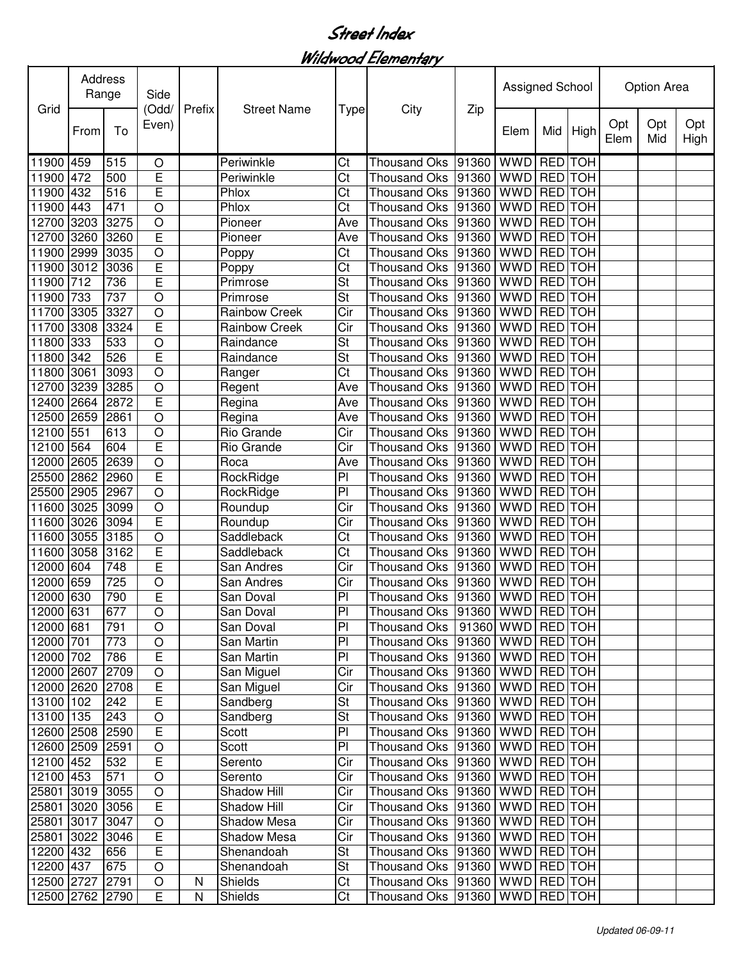Wildwood Elementary

| Grid            |      | Address<br>Range |                         | Prefix | <b>Street Name</b>   |                         |                                        | Zip       | Assigned School |                |            | Option Area |            |             |  |
|-----------------|------|------------------|-------------------------|--------|----------------------|-------------------------|----------------------------------------|-----------|-----------------|----------------|------------|-------------|------------|-------------|--|
|                 | From | To               | (Odd/<br>Even)          |        |                      | <b>Type</b>             | City                                   |           | Elem            | Mid            | High       | Opt<br>Elem | Opt<br>Mid | Opt<br>High |  |
| 11900 459       |      | 515              | O                       |        | Periwinkle           | Ct                      | <b>Thousand Oks</b>                    | 91360     | <b>WWD</b>      |                | RED TOH    |             |            |             |  |
| 11900 472       |      | 500              | E                       |        | Periwinkle           | Ct                      | <b>Thousand Oks</b>                    | 91360     | <b>WWD</b>      | <b>RED</b>     | <b>TOH</b> |             |            |             |  |
| 11900           | 432  | 516              | Ē                       |        | Phlox                | Ct                      | <b>Thousand Oks</b>                    | 91360     | <b>WWD</b>      | <b>RED</b>     | <b>TOH</b> |             |            |             |  |
| 11900           | 443  | 471              | $\circ$                 |        | Phlox                | Ct                      | <b>Thousand Oks</b>                    | 91360     | <b>WWD</b>      | <b>RED</b>     | <b>TOH</b> |             |            |             |  |
| 12700           | 3203 | 3275             | $\circ$                 |        | Pioneer              | Ave                     | <b>Thousand Oks</b>                    | 91360     | <b>WWD</b>      | <b>RED</b>     | <b>TOH</b> |             |            |             |  |
| 12700 3260      |      | 3260             | E                       |        | Pioneer              | Ave                     | <b>Thousand Oks</b>                    | 91360     | <b>WWD</b>      | <b>RED</b>     | <b>TOH</b> |             |            |             |  |
| 11900 2999      |      | 3035             | $\circ$                 |        | Poppy                | Ct                      | <b>Thousand Oks</b>                    | 91360 WWD |                 | <b>RED</b> TOH |            |             |            |             |  |
| 11900 3012      |      | 3036             | E                       |        | Poppy                | Ct                      | <b>Thousand Oks</b>                    | 91360     | <b>WWD</b>      | <b>RED</b>     | <b>TOH</b> |             |            |             |  |
| 11900           | 712  | 736              | E                       |        | Primrose             | St                      | <b>Thousand Oks</b>                    | 91360     | <b>WWD</b>      | <b>RED</b>     | <b>TOH</b> |             |            |             |  |
| 11900           | 733  | 737              | $\circ$                 |        | Primrose             | St                      | <b>Thousand Oks</b>                    | 91360     | <b>WWD</b>      | <b>RED</b>     | <b>TOH</b> |             |            |             |  |
| 11700 3305      |      | 3327             | $\circ$                 |        | <b>Rainbow Creek</b> | Cir                     | Thousand Oks                           | 91360     | <b>WWD</b>      | <b>RED</b>     | <b>TOH</b> |             |            |             |  |
| 11700 3308      |      | 3324             | E                       |        | <b>Rainbow Creek</b> | Cir                     | <b>Thousand Oks</b>                    | 91360     | <b>WWD</b>      | <b>RED</b>     | <b>TOH</b> |             |            |             |  |
| 11800 333       |      | 533              | O                       |        | Raindance            | St                      | <b>Thousand Oks</b>                    | 91360     | <b>WWD</b>      | <b>RED</b>     | <b>TOH</b> |             |            |             |  |
| 11800 342       |      | 526              | E                       |        | Raindance            | St                      | <b>Thousand Oks</b>                    | 91360 WWD |                 | RED TOH        |            |             |            |             |  |
| 11800 3061      |      | 3093             | $\overline{O}$          |        | Ranger               | Ct                      | <b>Thousand Oks</b>                    | 91360 WWD |                 | <b>RED</b> TOH |            |             |            |             |  |
| 12700 3239      |      | 3285             | $\overline{O}$          |        | Regent               | Ave                     | <b>Thousand Oks</b>                    | 91360     | <b>WWD</b>      | <b>RED</b> TOH |            |             |            |             |  |
| 12400 2664      |      | 2872             | Ē                       |        | Regina               | Ave                     | <b>Thousand Oks</b>                    | 91360     | <b>WWD</b>      | <b>RED</b> TOH |            |             |            |             |  |
| 12500           | 2659 | 2861             | $\circ$                 |        | Regina               | Ave                     | <b>Thousand Oks</b>                    | 91360     | <b>WWD</b>      | <b>RED</b> TOH |            |             |            |             |  |
| 12100 551       |      | 613              | $\circ$                 |        | Rio Grande           | Cir                     | <b>Thousand Oks</b>                    | 91360     | <b>WWD</b>      | <b>RED</b>     | <b>TOH</b> |             |            |             |  |
| 12100           | 564  | 604              | E                       |        | Rio Grande           | Cir                     | <b>Thousand Oks</b>                    | 91360     | <b>WWD</b>      | <b>RED</b>     | <b>TOH</b> |             |            |             |  |
| 12000           | 2605 | 2639             | $\overline{O}$          |        | Roca                 | Ave                     | <b>Thousand Oks</b>                    | 91360     | <b>WWD</b>      | <b>RED</b>     | <b>TOH</b> |             |            |             |  |
| 25500 2862      |      | 2960             | E                       |        | RockRidge            | PI                      | <b>Thousand Oks</b>                    | 91360     | <b>WWD</b>      | <b>RED</b>     | <b>TOH</b> |             |            |             |  |
| 25500 2905      |      | 2967             | $\circ$                 |        | RockRidge            | $\overline{P}$          | <b>Thousand Oks</b>                    | 91360     | <b>WWD</b>      | <b>RED</b>     | <b>TOH</b> |             |            |             |  |
| 11600 3025      |      | 3099             | $\circ$                 |        | Roundup              | $\overline{\text{Cir}}$ | <b>Thousand Oks</b>                    | 91360     | <b>WWD</b>      | <b>RED TOH</b> |            |             |            |             |  |
| 11600 3026      |      | 3094             | E                       |        | Roundup              | Cir                     | <b>Thousand Oks</b>                    | 91360     | <b>WWD</b>      | <b>RED</b> TOH |            |             |            |             |  |
| 11600 3055      |      | 3185             | $\circ$                 |        | Saddleback           | Ct                      | <b>Thousand Oks</b>                    | 91360     | <b>WWD</b>      | <b>RED</b>     | <b>TOH</b> |             |            |             |  |
| 11600 3058      |      | 3162             | E                       |        | Saddleback           | Ct                      | <b>Thousand Oks</b>                    | 91360     | <b>WWD</b>      | <b>RED</b>     | <b>TOH</b> |             |            |             |  |
| 12000 604       |      | 748              | E                       |        | San Andres           | Cir                     | <b>Thousand Oks</b>                    | 91360     | <b>WWD</b>      | <b>RED</b>     | <b>TOH</b> |             |            |             |  |
| 12000 659       |      | 725              | O                       |        | San Andres           | Cir                     | Thousand Oks                           | 91360     | <b>WWD</b>      | <b>RED</b>     | <b>TOH</b> |             |            |             |  |
| 12000 630       |      | 790              | E                       |        | San Doval            | PI                      | Thousand Oks  91360   WWD RED TOH      |           |                 |                |            |             |            |             |  |
| 12000 631       |      | 677              | $\overline{O}$          |        | San Doval            | PI                      | Thousand Oks 91360 WWD RED TOH         |           |                 |                |            |             |            |             |  |
| 12000 681       |      | 791              | $\circ$                 |        | San Doval            | P                       | Thousand Oks   91360   WWD   RED   TOH |           |                 |                |            |             |            |             |  |
| 12000 701       |      | 773              | $\bigcirc$              |        | San Martin           | PI                      | Thousand Oks   91360   WWD   RED   TOH |           |                 |                |            |             |            |             |  |
| 12000 702       |      | 786              | E                       |        | San Martin           | PI                      | Thousand Oks  91360   WWD   RED   TOH  |           |                 |                |            |             |            |             |  |
| 12000 2607      |      | 2709             | $\bigcirc$              |        | San Miguel           | Cir                     | Thousand Oks  91360   WWD   RED   TOH  |           |                 |                |            |             |            |             |  |
| 12000 2620      |      | 2708             | E                       |        | San Miguel           | Cir                     | Thousand Oks   91360   WWD   RED   TOH |           |                 |                |            |             |            |             |  |
| 13100 102       |      | 242              | E                       |        | Sandberg             | St                      | Thousand Oks   91360   WWD   RED   TOH |           |                 |                |            |             |            |             |  |
| 13100 135       |      | 243              | $\bigcirc$              |        | Sandberg             | St                      | Thousand Oks   91360   WWD   RED   TOH |           |                 |                |            |             |            |             |  |
| 12600 2508 2590 |      |                  | $\overline{\mathsf{E}}$ |        | Scott                | P <sub>1</sub>          | Thousand Oks  91360   WWD   RED   TOH  |           |                 |                |            |             |            |             |  |
| 12600 2509      |      | 2591             | $\bigcirc$              |        | Scott                | P <sub>1</sub>          | Thousand Oks  91360   WWD   RED   TOH  |           |                 |                |            |             |            |             |  |
| 12100 452       |      | 532              | E                       |        | Serento              | Cir                     | Thousand Oks   91360   WWD   RED   TOH |           |                 |                |            |             |            |             |  |
| 12100 453       |      | 571              | $\circ$                 |        | Serento              | Cir                     | Thousand Oks   91360   WWD   RED   TOH |           |                 |                |            |             |            |             |  |
| 25801 3019      |      | 3055             | $\circ$                 |        | Shadow Hill          | Cir                     | Thousand Oks   91360   WWD   RED   TOH |           |                 |                |            |             |            |             |  |
| 25801 3020      |      | 3056             | E                       |        | Shadow Hill          | Cir                     | Thousand Oks   91360   WWD   RED   TOH |           |                 |                |            |             |            |             |  |
| 25801 3017      |      | 3047             | $\bigcirc$              |        | Shadow Mesa          | Cir                     | Thousand Oks   91360   WWD   RED   TOH |           |                 |                |            |             |            |             |  |
| 25801 3022      |      | 3046             | E                       |        | Shadow Mesa          | Cir                     | Thousand Oks 91360 WWD RED TOH         |           |                 |                |            |             |            |             |  |
| 12200 432       |      | 656              | E                       |        | Shenandoah           | St                      | Thousand Oks   91360   WWD   RED   TOH |           |                 |                |            |             |            |             |  |
| 12200 437       |      | 675              | $\circ$                 |        | Shenandoah           | <b>St</b>               | Thousand Oks 91360 WWD RED TOH         |           |                 |                |            |             |            |             |  |
| 12500 2727 2791 |      |                  | $\circ$                 | N      | Shields              | Ct                      | Thousand Oks   91360   WWD   RED   TOH |           |                 |                |            |             |            |             |  |
| 12500 2762 2790 |      |                  | E                       | N      | Shields              | Ct                      | Thousand Oks  91360   WWD   RED   TOH  |           |                 |                |            |             |            |             |  |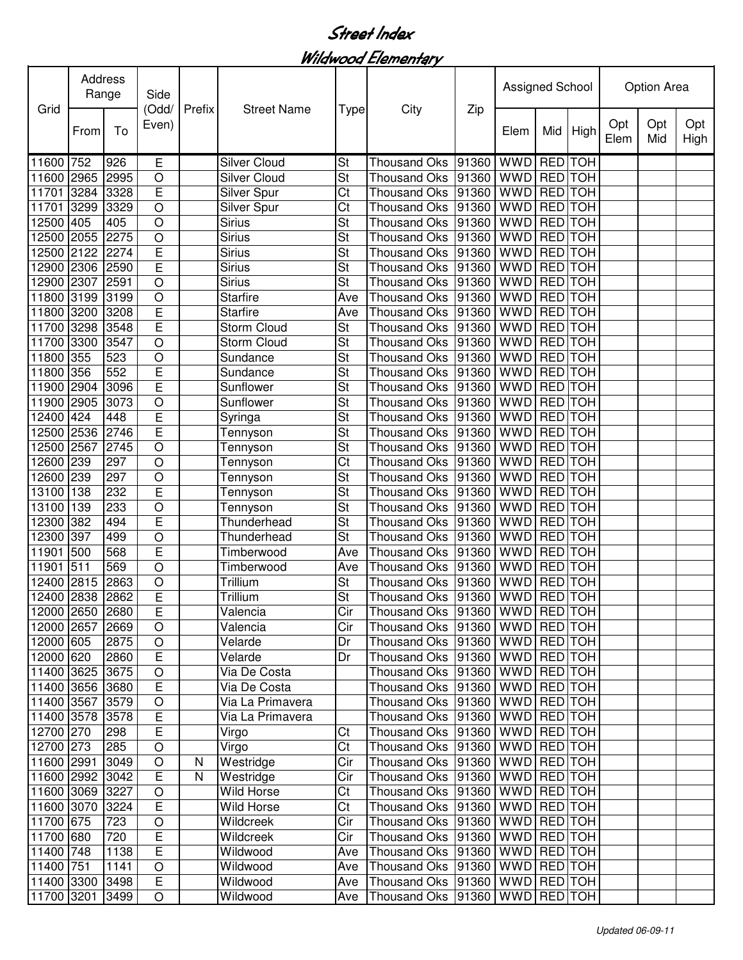Wildwood Elementary

|                 | Address<br>Range |      | Side                    |              | <b>Street Name</b>  |                          |                                        |           | Assigned School |                |            | Option Area |            |             |  |
|-----------------|------------------|------|-------------------------|--------------|---------------------|--------------------------|----------------------------------------|-----------|-----------------|----------------|------------|-------------|------------|-------------|--|
| Grid            | From             | To   | (Odd/<br>Even)          | Prefix       |                     | <b>Type</b>              | City                                   | Zip       | Elem            | Mid            | High       | Opt<br>Elem | Opt<br>Mid | Opt<br>High |  |
| 11600 752       |                  | 926  | Е                       |              | <b>Silver Cloud</b> | St                       | <b>Thousand Oks</b>                    | 91360     | <b>WWD</b>      | RED TOH        |            |             |            |             |  |
| 11600 2965      |                  | 2995 | $\bigcirc$              |              | <b>Silver Cloud</b> | St                       | <b>Thousand Oks</b>                    | 91360     | <b>WWD</b>      | <b>RED</b>     | <b>TOH</b> |             |            |             |  |
| 11701           | 3284             | 3328 | E                       |              | Silver Spur         | Ct                       | <b>Thousand Oks</b>                    | 91360     | <b>WWD</b>      | <b>RED</b>     | <b>TOH</b> |             |            |             |  |
| 11701           | 3299             | 3329 | $\circ$                 |              | Silver Spur         | Ct                       | <b>Thousand Oks</b>                    | 91360     | <b>WWD</b>      | <b>RED</b>     | <b>TOH</b> |             |            |             |  |
| 12500           | 405              | 405  | $\circ$                 |              | <b>Sirius</b>       | St                       | <b>Thousand Oks</b>                    | 91360     | <b>WWD</b>      | <b>RED</b>     | <b>TOH</b> |             |            |             |  |
| 12500 2055      |                  | 2275 | $\circ$                 |              | <b>Sirius</b>       | St                       | <b>Thousand Oks</b>                    | 91360     | <b>WWD</b>      | <b>RED</b> TOH |            |             |            |             |  |
| 12500 2122      |                  | 2274 | E                       |              | <b>Sirius</b>       | St                       | <b>Thousand Oks</b>                    | 91360 WWD |                 | <b>RED</b> TOH |            |             |            |             |  |
| 12900 2306      |                  | 2590 | E                       |              | <b>Sirius</b>       | St                       | <b>Thousand Oks</b>                    | 91360     | <b>WWD</b>      | <b>RED</b>     | <b>TOH</b> |             |            |             |  |
| 12900 2307      |                  | 2591 | $\circ$                 |              | <b>Sirius</b>       | St                       | Thousand Oks                           | 91360     | <b>WWD</b>      | <b>RED</b>     | <b>TOH</b> |             |            |             |  |
| 11800 3199      |                  | 3199 | $\circ$                 |              | Starfire            | Ave                      | <b>Thousand Oks</b>                    | 91360     | <b>WWD</b>      | <b>RED</b>     | <b>TOH</b> |             |            |             |  |
| 11800 3200      |                  | 3208 | E                       |              | <b>Starfire</b>     | Ave                      | <b>Thousand Oks</b>                    | 91360     | <b>WWD</b>      | <b>RED</b>     | <b>TOH</b> |             |            |             |  |
| 11700 3298      |                  | 3548 | E                       |              | <b>Storm Cloud</b>  | <b>St</b>                | <b>Thousand Oks</b>                    | 91360     | <b>WWD</b>      | <b>RED</b>     | <b>TOH</b> |             |            |             |  |
| 11700 3300      |                  | 3547 | $\circ$                 |              | <b>Storm Cloud</b>  | St                       | <b>Thousand Oks</b>                    | 91360     | <b>WWD</b>      | <b>RED</b>     | <b>TOH</b> |             |            |             |  |
| 11800 355       |                  | 523  | $\circ$                 |              | Sundance            | St                       | <b>Thousand Oks</b>                    | 91360 WWD |                 | <b>RED</b> TOH |            |             |            |             |  |
| 11800 356       |                  | 552  | Ē                       |              | Sundance            | $\overline{\mathsf{St}}$ | <b>Thousand Oks</b>                    | 91360 WWD |                 | <b>RED</b> TOH |            |             |            |             |  |
| 11900 2904      |                  | 3096 | Ē                       |              | Sunflower           | <b>St</b>                | <b>Thousand Oks</b>                    | 91360     | <b>WWD</b>      | <b>RED</b> TOH |            |             |            |             |  |
| 11900 2905      |                  | 3073 | $\overline{O}$          |              | Sunflower           | <b>St</b>                | <b>Thousand Oks</b>                    | 91360     | <b>WWD</b>      | <b>RED</b>     | <b>TOH</b> |             |            |             |  |
| 12400 424       |                  | 448  | Ē                       |              | Syringa             | St                       | <b>Thousand Oks</b>                    | 91360     | <b>WWD</b>      | <b>RED</b> TOH |            |             |            |             |  |
| 12500           | 2536             | 2746 | Ē                       |              | Tennyson            | St                       | <b>Thousand Oks</b>                    | 91360     | <b>WWD</b>      | <b>RED</b>     | <b>TOH</b> |             |            |             |  |
| 12500           | 2567             | 2745 | $\overline{O}$          |              | Tennyson            | St                       | Thousand Oks                           | 91360     | <b>WWD</b>      | <b>RED</b>     | <b>TOH</b> |             |            |             |  |
| 12600           | 239              | 297  | $\circ$                 |              | Tennyson            | Ct                       | <b>Thousand Oks</b>                    | 91360     | <b>WWD</b>      | <b>RED</b>     | <b>TOH</b> |             |            |             |  |
| 12600 239       |                  | 297  | $\circ$                 |              | Tennyson            | St                       | <b>Thousand Oks</b>                    | 91360     | <b>WWD</b>      | <b>RED</b>     | <b>TOH</b> |             |            |             |  |
| 13100 138       |                  | 232  | Ē                       |              | Tennyson            | St                       | <b>Thousand Oks</b>                    | 91360     | <b>WWD</b>      | <b>RED</b>     | <b>TOH</b> |             |            |             |  |
| 13100 139       |                  | 233  | $\circ$                 |              | Tennyson            | St                       | <b>Thousand Oks</b>                    | 91360     | <b>WWD</b>      | <b>RED TOH</b> |            |             |            |             |  |
| 12300 382       |                  | 494  | E                       |              | Thunderhead         | <b>St</b>                | <b>Thousand Oks</b>                    | 91360     | <b>WWD</b>      | <b>RED</b> TOH |            |             |            |             |  |
| 12300 397       |                  | 499  | $\circ$                 |              | Thunderhead         | St                       | <b>Thousand Oks</b>                    | 91360     | <b>WWD</b>      | <b>RED</b>     | <b>TOH</b> |             |            |             |  |
| 11901           | 500              | 568  | E                       |              | Timberwood          | Ave                      | <b>Thousand Oks</b>                    | 91360     | <b>WWD</b>      | <b>RED</b>     | <b>TOH</b> |             |            |             |  |
| 11901           | 511              | 569  | $\circ$                 |              | Timberwood          | Ave                      | <b>Thousand Oks</b>                    | 91360     | <b>WWD</b>      | <b>RED</b>     | <b>TOH</b> |             |            |             |  |
| 12400 2815      |                  | 2863 | $\circ$                 |              | Trillium            | St                       | Thousand Oks                           | 91360     | <b>WWD</b>      | <b>RED</b>     | <b>TOH</b> |             |            |             |  |
| 12400 2838      |                  | 2862 | E                       |              | Trillium            | St                       | Thousand Oks  91360   WWD   RED   TOH  |           |                 |                |            |             |            |             |  |
| 12000 2650 2680 |                  |      | $\overline{\mathsf{E}}$ |              | Valencia            | $\overline{\text{Cir}}$  | Thousand Oks 91360 WWD RED TOH         |           |                 |                |            |             |            |             |  |
| 12000 2657 2669 |                  |      | $\circ$                 |              | Valencia            | Cir                      | Thousand Oks   91360   WWD   RED   TOH |           |                 |                |            |             |            |             |  |
| 12000 605       |                  | 2875 | $\circ$                 |              | Velarde             | Dr                       | Thousand Oks   91360   WWD   RED   TOH |           |                 |                |            |             |            |             |  |
| 12000 620       |                  | 2860 | E                       |              | Velarde             | Dr                       | Thousand Oks  91360   WWD   RED   TOH  |           |                 |                |            |             |            |             |  |
| 11400 3625      |                  | 3675 | $\circ$                 |              | Via De Costa        |                          | Thousand Oks  91360   WWD   RED   TOH  |           |                 |                |            |             |            |             |  |
| 11400 3656      |                  | 3680 | E                       |              | Via De Costa        |                          | Thousand Oks  91360   WWD   RED   TOH  |           |                 |                |            |             |            |             |  |
| 11400 3567      |                  | 3579 | $\circ$                 |              | Via La Primavera    |                          | Thousand Oks   91360   WWD   RED   TOH |           |                 |                |            |             |            |             |  |
| 11400 3578      |                  | 3578 | E                       |              | Via La Primavera    |                          | Thousand Oks  91360   WWD   RED   TOH  |           |                 |                |            |             |            |             |  |
| 12700 270       |                  | 298  | E                       |              | Virgo               | Ct                       | Thousand Oks   91360   WWD   RED   TOH |           |                 |                |            |             |            |             |  |
| 12700 273       |                  | 285  | $\circ$                 |              | Virgo               | $\overline{\text{C}t}$   | Thousand Oks   91360   WWD   RED   TOH |           |                 |                |            |             |            |             |  |
| 11600 2991      |                  | 3049 | $\circ$                 | ${\sf N}$    | Westridge           | Cir                      | Thousand Oks   91360   WWD   RED   TOH |           |                 |                |            |             |            |             |  |
| 11600 2992      |                  | 3042 | E                       | $\mathsf{N}$ | Westridge           | Cir                      | Thousand Oks   91360   WWD   RED   TOH |           |                 |                |            |             |            |             |  |
| 11600 3069      |                  | 3227 | $\circ$                 |              | Wild Horse          | Ct                       | Thousand Oks   91360   WWD   RED   TOH |           |                 |                |            |             |            |             |  |
| 11600 3070      |                  | 3224 | E                       |              | Wild Horse          | Ct                       | Thousand Oks   91360   WWD   RED   TOH |           |                 |                |            |             |            |             |  |
| 11700 675       |                  | 723  | $\circ$                 |              | Wildcreek           | Cir                      | Thousand Oks   91360   WWD   RED   TOH |           |                 |                |            |             |            |             |  |
| 11700 680       |                  | 720  | E                       |              | Wildcreek           | Cir                      | Thousand Oks 91360 WWD RED TOH         |           |                 |                |            |             |            |             |  |
| 11400 748       |                  | 1138 | E                       |              | Wildwood            | Ave                      | Thousand Oks   91360   WWD   RED   TOH |           |                 |                |            |             |            |             |  |
| 11400 751       |                  | 1141 | $\circ$                 |              | Wildwood            | Ave                      | Thousand Oks   91360   WWD   RED   TOH |           |                 |                |            |             |            |             |  |
| 11400 3300      |                  | 3498 | E                       |              | Wildwood            | Ave                      | Thousand Oks   91360   WWD   RED   TOH |           |                 |                |            |             |            |             |  |
| 11700 3201      |                  | 3499 | $\bigcirc$              |              | Wildwood            | Ave                      | Thousand Oks  91360   WWD   RED   TOH  |           |                 |                |            |             |            |             |  |